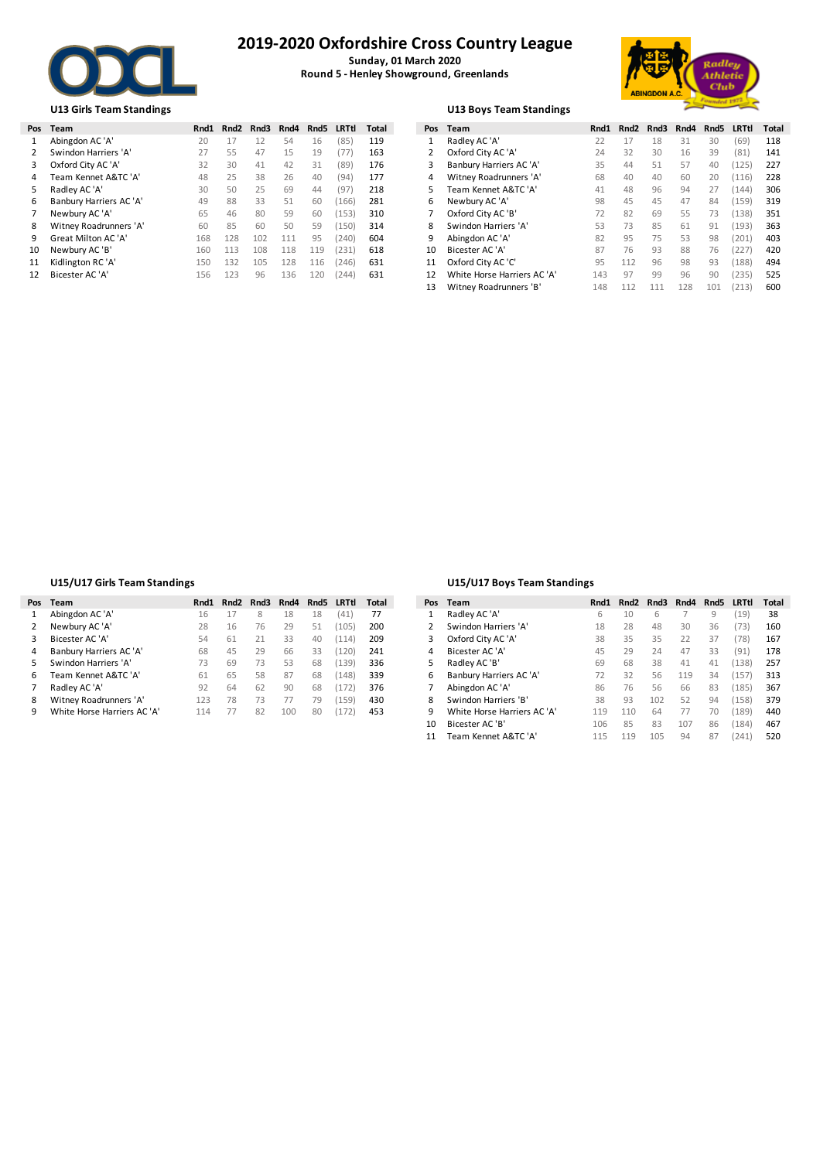

# **2019-2020 Oxfordshire Cross Country League**

**Sunday, 01 March 2020 Round 5 - Henley Showground, Greenlands**



### **U13 Girls Team Standings U13 Boys Team Standings**

| Pos | Team                    | Rnd1 | Rnd2 | Rnd3 | Rnd4 | Rnd5 | LRTtl | Total | Pos | Team                       | Rnd1 | Rnd2 | Rnd3 | Rnd4 | Rnd5 | LRTtl | Total |
|-----|-------------------------|------|------|------|------|------|-------|-------|-----|----------------------------|------|------|------|------|------|-------|-------|
|     | Abingdon AC 'A'         | 20   |      |      | 54   | 16   | (85)  | 119   |     | Radley AC 'A'              | 22   | 17   | 18   | 31   | 30   | (69)  | 118   |
|     | Swindon Harriers 'A'    |      | 55   | 47   | 15   | 19   | 77)   | 163   |     | Oxford City AC 'A'         | 24   | 32   | 30   | 16   | 39   | (81)  | 141   |
| 3   | Oxford City AC 'A'      | 32   | 30   | 41   | 42   | 31   | (89)  | 176   |     | Banbury Harriers AC 'A'    | 35   | 44   | 51   | 57   | 40   | 125   | 227   |
| 4   | Team Kennet A&TC 'A'    | 48   | 25   | 38   | 26   | 40   | (94)  | 177   | 4   | Witney Roadrunners 'A'     | 68   | 40   | 40   | 60   | 20   | 116   | 228   |
|     | Radley AC 'A'           | 30   | 50   | 25   | 69   | 44   | (97)  | 218   |     | Team Kennet A&TC 'A'       | 41   | 48   | 96   | 94   | 27   | 144   | 306   |
| 6   | Banbury Harriers AC 'A' | 49   | 88   | 33   | 51   | 60   | 166)  | 281   | 6   | Newbury AC 'A'             | 98   | 45   | 45   | 47   | 84   | (159) | 319   |
|     | Newbury AC 'A'          | 65   | 46   | 80   | 59   | 60   | 153)  | 310   |     | Oxford City AC 'B'         |      | 82   | 69   | 55   | 73   | 138   | 351   |
| 8   | Witney Roadrunners 'A'  | 60   | 85   | 60   | 50   | 59   | 150)  | 314   | 8   | Swindon Harriers 'A'       | 53   | 73   | 85   | 61   | 91   | 193   | 363   |
| 9   | Great Milton AC 'A'     | 168  | 128  | 102  | 111  | 95   | 240)  | 604   | 9   | Abingdon AC 'A'            | 82   | 95   | 75   | 53   | 98   | 201   | 403   |
| 10  | Newbury AC 'B'          | 160  | 113  | 108  | 118  | 119  | 231)  | 618   | 10  | Bicester AC 'A'            | 87   | 76   | 93   | 88   | 76   | 227   | 420   |
|     | Kidlington RC 'A'       | 150  | 132  | 105  | 128  | 116  | 246)  | 631   | 11  | Oxford City AC 'C'         | 95   | 112  | 96   | 98   | 93   | 188)  | 494   |
|     | Bicester AC 'A'         | 156  | 123  | 96   | 136  | 120  | (244) | 631   |     | White Horse Harriers AC 'A | 143  | 97   | 99   | 96   | 90   | 235   | 525   |
|     |                         |      |      |      |      |      |       |       |     |                            |      |      |      |      |      |       |       |

|  |  | U13 Boys Team Standings |
|--|--|-------------------------|
|--|--|-------------------------|

| Pos | Team                        | Rnd1 | Rnd <sub>2</sub> | Rnd3 | Rnd4 | Rnd <sub>5</sub> | LRTtl | Total |
|-----|-----------------------------|------|------------------|------|------|------------------|-------|-------|
| 1   | Radley AC 'A'               | 22   | 17               | 18   | 31   | 30               | (69)  | 118   |
| 2   | Oxford City AC 'A'          | 24   | 32               | 30   | 16   | 39               | (81)  | 141   |
| 3   | Banbury Harriers AC 'A'     | 35   | 44               | 51   | 57   | 40               | (125) | 227   |
| 4   | Witney Roadrunners 'A'      | 68   | 40               | 40   | 60   | 20               | (116) | 228   |
| 5   | Team Kennet A&TC 'A'        | 41   | 48               | 96   | 94   | 27               | (144) | 306   |
| 6   | Newbury AC 'A'              | 98   | 45               | 45   | 47   | 84               | (159) | 319   |
| 7   | Oxford City AC 'B'          | 72   | 82               | 69   | 55   | 73               | (138) | 351   |
| 8   | Swindon Harriers 'A'        | 53   | 73               | 85   | 61   | 91               | (193) | 363   |
| 9   | Abingdon AC 'A'             | 82   | 95               | 75   | 53   | 98               | (201) | 403   |
| 10  | Bicester AC 'A'             | 87   | 76               | 93   | 88   | 76               | (227) | 420   |
| 11  | Oxford City AC 'C'          | 95   | 112              | 96   | 98   | 93               | (188) | 494   |
| 12  | White Horse Harriers AC 'A' | 143  | 97               | 99   | 96   | 90               | (235) | 525   |
| 13  | Witney Roadrunners 'B'      | 148  | 112              | 111  | 128  | 101              | (213) | 600   |

## **U15/U17 Girls Team Standings U15/U17 Boys Team Standings**

|    | Pos Team                    | Rnd1 | Rnd2 | Rnd3 | Rnd4 |    | Rnd5 LRTtl | Total |  | Pos Team                    | Rnd1 | Rnd2 | Rnd3 | Rnd4 | Rnd5 | <b>LRTtl</b> | Total |
|----|-----------------------------|------|------|------|------|----|------------|-------|--|-----------------------------|------|------|------|------|------|--------------|-------|
|    | Abingdon AC 'A'             | 16   |      |      | 18   | 18 | (41)       | 77    |  | Radley AC 'A'               |      | 10   | ь    |      | Q    | (19)         | 38    |
|    | Newbury AC 'A'              | 28   | 16   | 76   | 29   | 51 | 105        | 200   |  | Swindon Harriers 'A'        | 18   | 28   | 48   | 30   | 36   | (73)         | 160   |
| 3  | Bicester AC 'A'             | 54   | 61   |      | 33   | 40 | 114        | 209   |  | Oxford City AC 'A'          | 38   | 35   | 35   |      | 37   | (78)         | 167   |
| 4  | Banbury Harriers AC 'A'     | 68   | 45   | 29   | 66   | 33 | 120)       | 241   |  | Bicester AC 'A'             | 45   | 29   | 24   | 47   | 33   | (91)         | 178   |
| 5. | Swindon Harriers 'A'        | 73   | 69   | 73.  |      | 68 | (139)      | 336   |  | Radley AC 'B'               | 69   | 68   | 38   | 41   | 41   | 138)         | 257   |
| 6  | Team Kennet A&TC 'A'        | 61   | 65   | 58   | 87   | 68 | 148)       | 339   |  | Banbury Harriers AC 'A'     |      | 32   | 56   | 119  | 34   | 157          | 313   |
|    | Radley AC 'A'               | 92   | 64   | 62   | 90   | 68 |            | 376   |  | Abingdon AC 'A'             | 86   | 76   | 56   | 66   | 83   | 185          | 367   |
| 8  | Witney Roadrunners 'A'      | 123  | 78   | 73.  |      | 79 | 159)       | 430   |  | Swindon Harriers 'B'        | 38   | 93   | 102  |      | 94   | 158)         | 379   |
| 9  | White Horse Harriers AC 'A' | 14   |      | 82   | 100  | 80 |            | 453   |  | White Horse Harriers AC 'A' | 119  | 110  | 64   |      | 70   | 189)         | 440   |

|    | 'os Team                    | Rnd1 | Rnd2 | Rnd3 | Rnd4 | Rnd5 | LRTtl | Total | Pos | Team                        | Rnd1 | Rnd2 | Rnd3 | Rnd4 | Rnd5 LRTtl |       | Total |
|----|-----------------------------|------|------|------|------|------|-------|-------|-----|-----------------------------|------|------|------|------|------------|-------|-------|
|    | Abingdon AC 'A'             | 16   |      | 8    | 18   | 18   | (41)  | 77    |     | Radley AC 'A'               | 6.   | 10   | 6    |      | 9          | (19)  | 38    |
|    | Newbury AC 'A'              | 28   | 16   | 76   | 29   | 51   | (105) | 200   |     | Swindon Harriers 'A'        | 18   | 28   | 48   | 30   | 36         | (73)  | 160   |
| 3  | Bicester AC 'A'             | 54   | 61   | 21   | 33   | 40   | (114) | 209   |     | Oxford City AC 'A'          | 38   | 35   | 35   | 22   | 37         | (78)  | 167   |
| 4  | Banbury Harriers AC 'A'     | 68   | 45   | 29   | 66   | 33   | 120   | 241   | 4   | Bicester AC 'A'             | 45   | 29   | 24   | 47   | 33         | (91)  | 178   |
|    | Swindon Harriers 'A'        | 73   | 69   | 73   | 53   | 68   | (139) | 336   | 5   | Radley AC 'B'               | 69   | 68   | 38   | 41   | 41         | (138) | 257   |
| 6  | Team Kennet A&TC 'A'        | 61   | 65   | 58   | 87   | 68   | (148) | 339   | 6   | Banbury Harriers AC 'A'     | 72   | 32   | 56   | 119  | 34         | (157) | 313   |
|    | Radley AC 'A'               | 92   | 64   | 62   | 90   | 68   | (172) | 376   |     | Abingdon AC 'A'             | 86   | 76   | 56   | 66   | 83         | (185) | 367   |
| 8. | Witney Roadrunners 'A'      | 123  | 78   | 73   |      | 79   | (159) | 430   | 8   | Swindon Harriers 'B'        | 38   | 93   | 102  | 52   | 94         | (158) | 379   |
| q  | White Horse Harriers AC 'A' | 114  | 77   | 82   | 100  | 80   | (172) | 453   | 9   | White Horse Harriers AC 'A' | 119  | 110  | 64   | 77   | 70         | (189) | 440   |
|    |                             |      |      |      |      |      |       |       | 10  | Bicester AC 'B'             | 106  | 85   | 83   | 107  | 86         | (184) | 467   |
|    |                             |      |      |      |      |      |       |       | 11  | Team Kennet A&TC 'A'        | 115  | 119  | 105  | 94   | 87         | (241) | 520   |
|    |                             |      |      |      |      |      |       |       |     |                             |      |      |      |      |            |       |       |